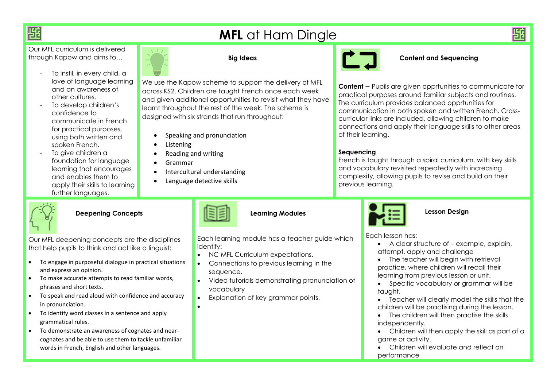

# **MFL** at Ham Dingle

Our MFL curriculum is delivered through Kapow and aims to…

- To instil, in every child, a love of language learning and an awareness of other cultures.
- To develop children's confidence to communicate in French for practical purposes, using both written and spoken French.
- To give children a foundation for language learning that encourages and enables them to apply their skills to learning further languages.



## **Big Ideas**

We use the Kapow scheme to support the delivery of MFL across KS2. Children are taught French once each week and given additional opportunities to revisit what they have learnt throughout the rest of the week. The scheme is designed with six strands that run throughout:

- Speaking and pronunciation
- **Listening**
- Reading and writing
- Grammar
- Intercultural understanding
- Language detective skills

•

#### **Content and Sequencing**

**Content** – Pupils are given opprtunities to communicate for practical purposes around familiar subjects and routines. The curriculum provides balanced opprtunities for communication in both spoken and written French. Crosscurricular links are included, allowing children to make connections and apply their language skills to other areas of their learning.

#### **Sequencing**

French is taught through a spiral curriculum, with key skills and vocabulary revisited repeatedly with increasing complexity, allowing pupils to revise and build on their previous learning.



## **Deepening Concepts**

Our MFL deepening concepts are the disciplines that help pupils to think and act like a linguist:

- To engage in purposeful dialogue in practical situations and express an opinion.
- To make accurate attempts to read familiar words, phrases and short texts.
- To speak and read aloud with confidence and accuracy in pronunciation.
- To identify word classes in a sentence and apply grammatical rules.
- To demonstrate an awareness of cognates and nearcognates and be able to use them to tackle unfamiliar words in French, English and other languages.



## **Learning Modules**

Each learning module has a teacher guide which identify:

- NC MFL Curriculum expectations.
- Connections to previous learning in the sequence.
- Video tutorials demonstrating pronunciation of vocabulary
- Explanation of key grammar points.



#### **Lesson Design**

Each lesson has:

- A clear structure of example, explain, attempt, apply and challenge
- The teacher will begin with retrieval practice, where children will recall their learning from previous lesson or unit.
- Specific vocabulary or grammar will be taught.
- Teacher will clearly model the skills that the children will be practising during the lesson.
- The children will then practise the skills independently.
- Children will then apply the skill as part of a game or activity.
- Children will evaluate and reflect on performance